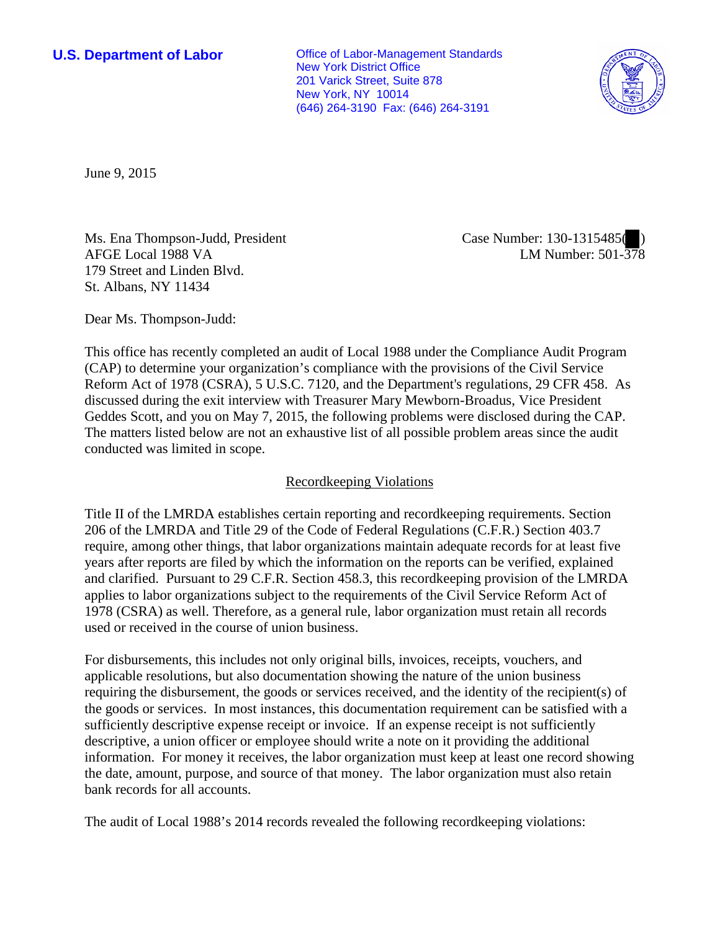**U.S. Department of Labor Conservative Conservative Conservative Conservative Conservative Conservative Conservative Conservative Conservative Conservative Conservative Conservative Conservative Conservative Conservative** New York District Office 201 Varick Street, Suite 878 New York, NY 10014 (646) 264-3190 Fax: (646) 264-3191



June 9, 2015

Ms. Ena Thompson-Judd, President AFGE Local 1988 VA 179 Street and Linden Blvd. St. Albans, NY 11434

Case Number: 130-1315485( ) LM Number: 501-378

Dear Ms. Thompson-Judd:

This office has recently completed an audit of Local 1988 under the Compliance Audit Program (CAP) to determine your organization's compliance with the provisions of the Civil Service Reform Act of 1978 (CSRA), 5 U.S.C. 7120, and the Department's regulations, 29 CFR 458. As discussed during the exit interview with Treasurer Mary Mewborn-Broadus, Vice President Geddes Scott, and you on May 7, 2015, the following problems were disclosed during the CAP. The matters listed below are not an exhaustive list of all possible problem areas since the audit conducted was limited in scope.

# Recordkeeping Violations

Title II of the LMRDA establishes certain reporting and recordkeeping requirements. Section 206 of the LMRDA and Title 29 of the Code of Federal Regulations (C.F.R.) Section 403.7 require, among other things, that labor organizations maintain adequate records for at least five years after reports are filed by which the information on the reports can be verified, explained and clarified. Pursuant to 29 C.F.R. Section 458.3, this recordkeeping provision of the LMRDA applies to labor organizations subject to the requirements of the Civil Service Reform Act of 1978 (CSRA) as well. Therefore, as a general rule, labor organization must retain all records used or received in the course of union business.

For disbursements, this includes not only original bills, invoices, receipts, vouchers, and applicable resolutions, but also documentation showing the nature of the union business requiring the disbursement, the goods or services received, and the identity of the recipient(s) of the goods or services. In most instances, this documentation requirement can be satisfied with a sufficiently descriptive expense receipt or invoice. If an expense receipt is not sufficiently descriptive, a union officer or employee should write a note on it providing the additional information. For money it receives, the labor organization must keep at least one record showing the date, amount, purpose, and source of that money. The labor organization must also retain bank records for all accounts.

The audit of Local 1988's 2014 records revealed the following recordkeeping violations: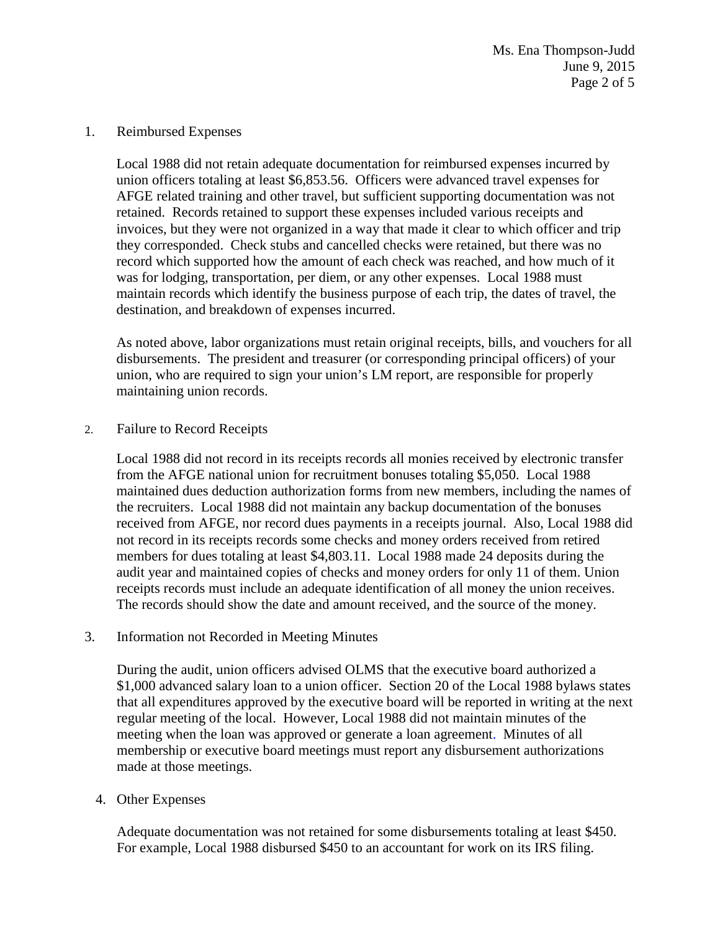#### 1. Reimbursed Expenses

Local 1988 did not retain adequate documentation for reimbursed expenses incurred by union officers totaling at least \$6,853.56. Officers were advanced travel expenses for AFGE related training and other travel, but sufficient supporting documentation was not retained. Records retained to support these expenses included various receipts and invoices, but they were not organized in a way that made it clear to which officer and trip they corresponded. Check stubs and cancelled checks were retained, but there was no record which supported how the amount of each check was reached, and how much of it was for lodging, transportation, per diem, or any other expenses. Local 1988 must maintain records which identify the business purpose of each trip, the dates of travel, the destination, and breakdown of expenses incurred.

As noted above, labor organizations must retain original receipts, bills, and vouchers for all disbursements. The president and treasurer (or corresponding principal officers) of your union, who are required to sign your union's LM report, are responsible for properly maintaining union records.

### 2. Failure to Record Receipts

Local 1988 did not record in its receipts records all monies received by electronic transfer from the AFGE national union for recruitment bonuses totaling \$5,050. Local 1988 maintained dues deduction authorization forms from new members, including the names of the recruiters. Local 1988 did not maintain any backup documentation of the bonuses received from AFGE, nor record dues payments in a receipts journal. Also, Local 1988 did not record in its receipts records some checks and money orders received from retired members for dues totaling at least \$4,803.11. Local 1988 made 24 deposits during the audit year and maintained copies of checks and money orders for only 11 of them. Union receipts records must include an adequate identification of all money the union receives. The records should show the date and amount received, and the source of the money.

### 3. Information not Recorded in Meeting Minutes

During the audit, union officers advised OLMS that the executive board authorized a \$1,000 advanced salary loan to a union officer. Section 20 of the Local 1988 bylaws states that all expenditures approved by the executive board will be reported in writing at the next regular meeting of the local. However, Local 1988 did not maintain minutes of the meeting when the loan was approved or generate a loan agreement. Minutes of all membership or executive board meetings must report any disbursement authorizations made at those meetings.

### 4. Other Expenses

Adequate documentation was not retained for some disbursements totaling at least \$450. For example, Local 1988 disbursed \$450 to an accountant for work on its IRS filing.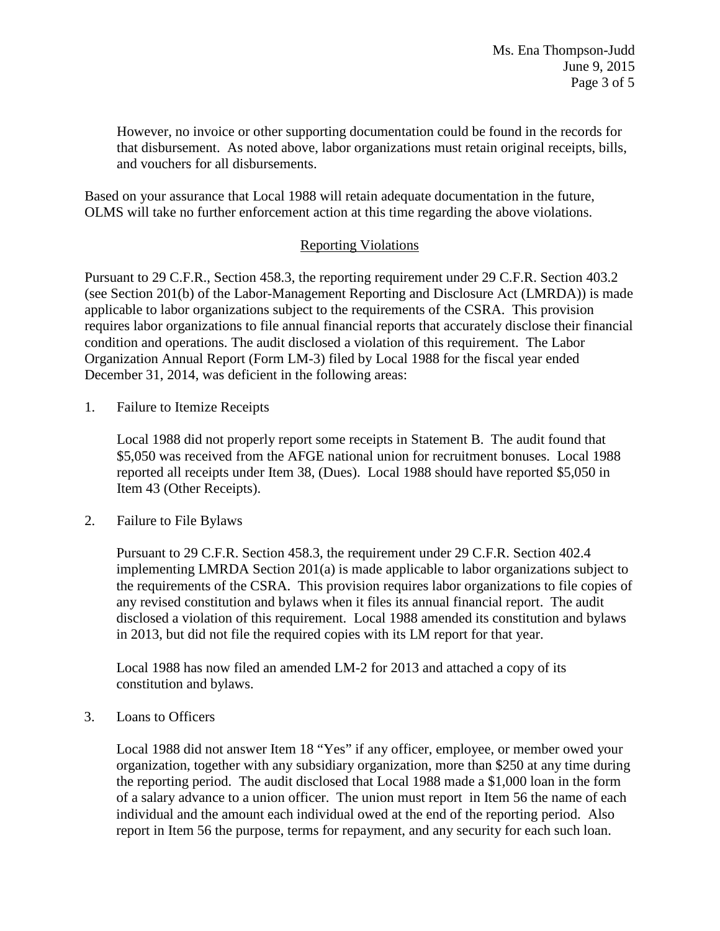However, no invoice or other supporting documentation could be found in the records for that disbursement. As noted above, labor organizations must retain original receipts, bills, and vouchers for all disbursements.

Based on your assurance that Local 1988 will retain adequate documentation in the future, OLMS will take no further enforcement action at this time regarding the above violations.

# Reporting Violations

Pursuant to 29 C.F.R., Section 458.3, the reporting requirement under 29 C.F.R. Section 403.2 (see Section 201(b) of the Labor-Management Reporting and Disclosure Act (LMRDA)) is made applicable to labor organizations subject to the requirements of the CSRA. This provision requires labor organizations to file annual financial reports that accurately disclose their financial condition and operations. The audit disclosed a violation of this requirement. The Labor Organization Annual Report (Form LM-3) filed by Local 1988 for the fiscal year ended December 31, 2014, was deficient in the following areas:

1. Failure to Itemize Receipts

Local 1988 did not properly report some receipts in Statement B. The audit found that \$5,050 was received from the AFGE national union for recruitment bonuses. Local 1988 reported all receipts under Item 38, (Dues). Local 1988 should have reported \$5,050 in Item 43 (Other Receipts).

2. Failure to File Bylaws

Pursuant to 29 C.F.R. Section 458.3, the requirement under 29 C.F.R. Section 402.4 implementing LMRDA Section 201(a) is made applicable to labor organizations subject to the requirements of the CSRA. This provision requires labor organizations to file copies of any revised constitution and bylaws when it files its annual financial report. The audit disclosed a violation of this requirement. Local 1988 amended its constitution and bylaws in 2013, but did not file the required copies with its LM report for that year.

Local 1988 has now filed an amended LM-2 for 2013 and attached a copy of its constitution and bylaws.

3. Loans to Officers

Local 1988 did not answer Item 18 "Yes" if any officer, employee, or member owed your organization, together with any subsidiary organization, more than \$250 at any time during the reporting period. The audit disclosed that Local 1988 made a \$1,000 loan in the form of a salary advance to a union officer. The union must report in Item 56 the name of each individual and the amount each individual owed at the end of the reporting period. Also report in Item 56 the purpose, terms for repayment, and any security for each such loan.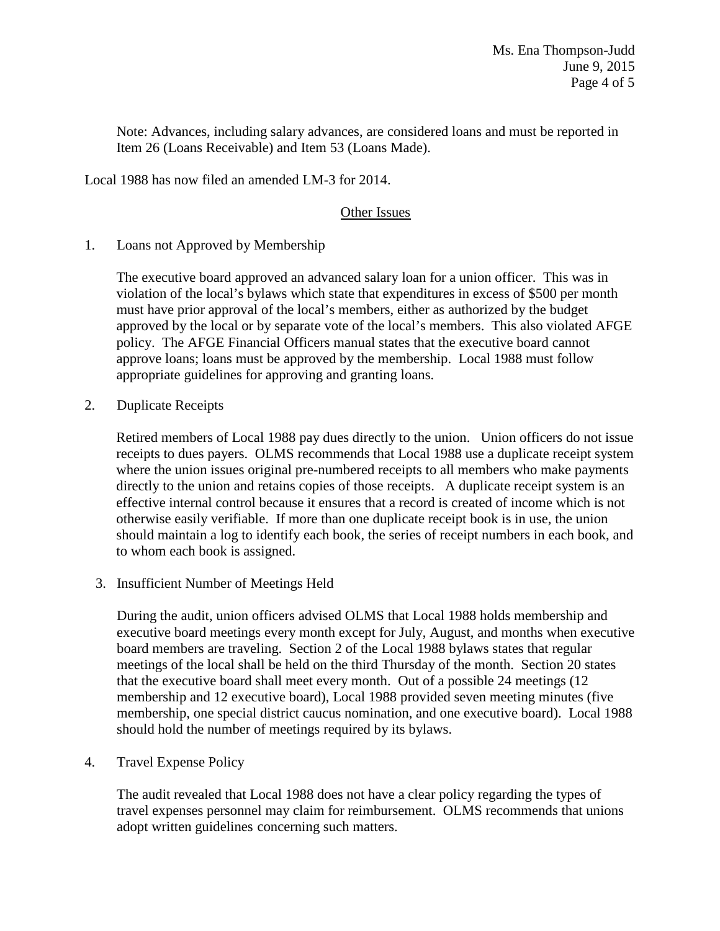Note: Advances, including salary advances, are considered loans and must be reported in Item 26 (Loans Receivable) and Item 53 (Loans Made).

Local 1988 has now filed an amended LM-3 for 2014.

# Other Issues

1. Loans not Approved by Membership

The executive board approved an advanced salary loan for a union officer. This was in violation of the local's bylaws which state that expenditures in excess of \$500 per month must have prior approval of the local's members, either as authorized by the budget approved by the local or by separate vote of the local's members. This also violated AFGE policy. The AFGE Financial Officers manual states that the executive board cannot approve loans; loans must be approved by the membership. Local 1988 must follow appropriate guidelines for approving and granting loans.

2. Duplicate Receipts

Retired members of Local 1988 pay dues directly to the union. Union officers do not issue receipts to dues payers. OLMS recommends that Local 1988 use a duplicate receipt system where the union issues original pre-numbered receipts to all members who make payments directly to the union and retains copies of those receipts. A duplicate receipt system is an effective internal control because it ensures that a record is created of income which is not otherwise easily verifiable. If more than one duplicate receipt book is in use, the union should maintain a log to identify each book, the series of receipt numbers in each book, and to whom each book is assigned.

3. Insufficient Number of Meetings Held

During the audit, union officers advised OLMS that Local 1988 holds membership and executive board meetings every month except for July, August, and months when executive board members are traveling. Section 2 of the Local 1988 bylaws states that regular meetings of the local shall be held on the third Thursday of the month. Section 20 states that the executive board shall meet every month. Out of a possible 24 meetings (12 membership and 12 executive board), Local 1988 provided seven meeting minutes (five membership, one special district caucus nomination, and one executive board). Local 1988 should hold the number of meetings required by its bylaws.

4. Travel Expense Policy

The audit revealed that Local 1988 does not have a clear policy regarding the types of travel expenses personnel may claim for reimbursement. OLMS recommends that unions adopt written guidelines concerning such matters.